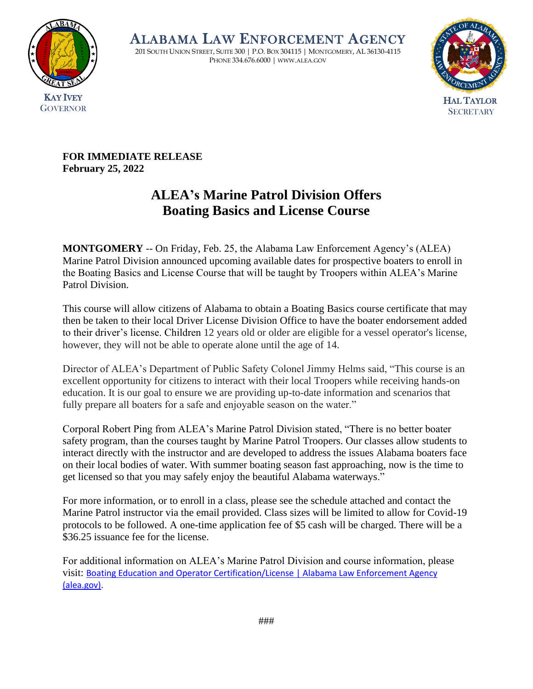

ALABAMA LAW ENFORCEMENT AGENCY

201 SOUTH UNION STREET, SUITE 300 | P.O. BOX 304115 | MONTGOMERY, AL 36130-4115 PHONE 334.676.6000 | WWW.ALEA.GOV



**FOR IMMEDIATE RELEASE February 25, 2022**

## **ALEA's Marine Patrol Division Offers Boating Basics and License Course**

**MONTGOMERY** -- On Friday, Feb. 25, the Alabama Law Enforcement Agency's (ALEA) Marine Patrol Division announced upcoming available dates for prospective boaters to enroll in the Boating Basics and License Course that will be taught by Troopers within ALEA's Marine Patrol Division.

This course will allow citizens of Alabama to obtain a Boating Basics course certificate that may then be taken to their local Driver License Division Office to have the boater endorsement added to their driver's license. Children 12 years old or older are eligible for a vessel operator's license, however, they will not be able to operate alone until the age of 14.

Director of ALEA's Department of Public Safety Colonel Jimmy Helms said, "This course is an excellent opportunity for citizens to interact with their local Troopers while receiving hands-on education. It is our goal to ensure we are providing up-to-date information and scenarios that fully prepare all boaters for a safe and enjoyable season on the water."

Corporal Robert Ping from ALEA's Marine Patrol Division stated, "There is no better boater safety program, than the courses taught by Marine Patrol Troopers. Our classes allow students to interact directly with the instructor and are developed to address the issues Alabama boaters face on their local bodies of water. With summer boating season fast approaching, now is the time to get licensed so that you may safely enjoy the beautiful Alabama waterways."

For more information, or to enroll in a class, please see the schedule attached and contact the Marine Patrol instructor via the email provided. Class sizes will be limited to allow for Covid-19 protocols to be followed. A one-time application fee of \$5 cash will be charged. There will be a \$36.25 issuance fee for the license.

For additional information on ALEA's Marine Patrol Division and course information, please visit: [Boating Education and Operator Certification/License | Alabama Law Enforcement Agency](https://www.alea.gov/dps/marine-patrol/boating-education-and-operator-certificationlicense)  [\(alea.gov\).](https://www.alea.gov/dps/marine-patrol/boating-education-and-operator-certificationlicense)